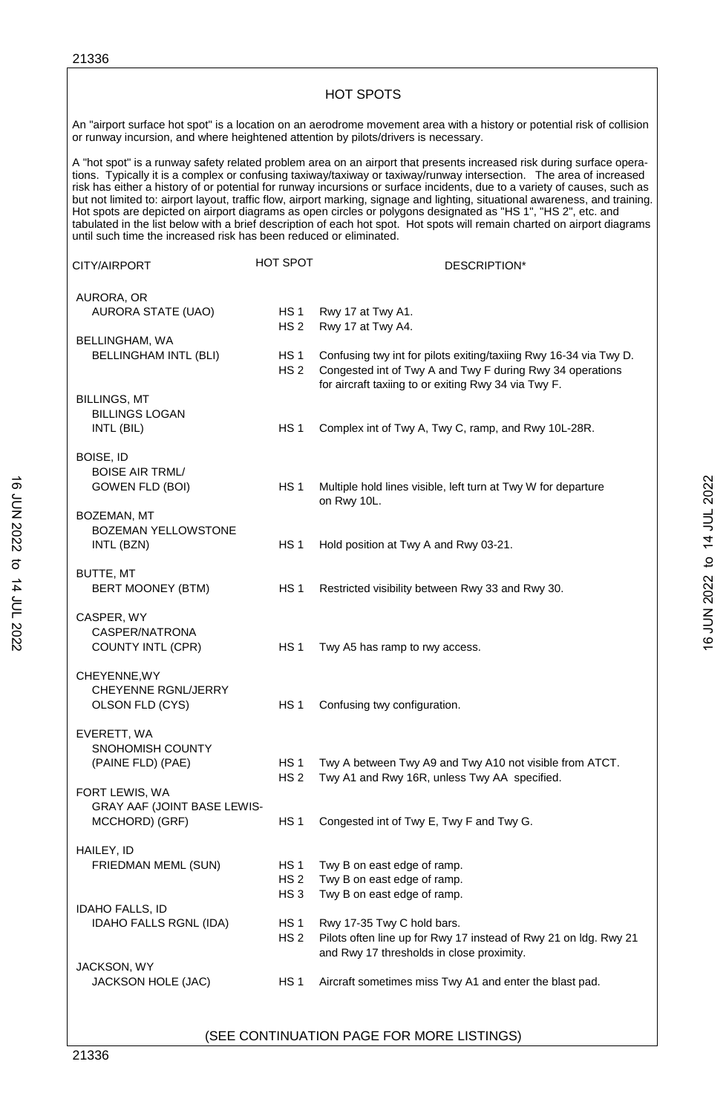|                  | <b>HOT SPOTS</b>                                                   |                                                       |                                                                                                                                                                                                                                                                                                                                                                                                                                                                                                                                                                                                                                                                                                                                                         |                            |  |
|------------------|--------------------------------------------------------------------|-------------------------------------------------------|---------------------------------------------------------------------------------------------------------------------------------------------------------------------------------------------------------------------------------------------------------------------------------------------------------------------------------------------------------------------------------------------------------------------------------------------------------------------------------------------------------------------------------------------------------------------------------------------------------------------------------------------------------------------------------------------------------------------------------------------------------|----------------------------|--|
|                  |                                                                    |                                                       | An "airport surface hot spot" is a location on an aerodrome movement area with a history or potential risk of collision<br>or runway incursion, and where heightened attention by pilots/drivers is necessary.                                                                                                                                                                                                                                                                                                                                                                                                                                                                                                                                          |                            |  |
|                  | until such time the increased risk has been reduced or eliminated. |                                                       | A "hot spot" is a runway safety related problem area on an airport that presents increased risk during surface opera-<br>tions. Typically it is a complex or confusing taxiway/taxiway or taxiway/runway intersection. The area of increased<br>risk has either a history of or potential for runway incursions or surface incidents, due to a variety of causes, such as<br>but not limited to: airport layout, traffic flow, airport marking, signage and lighting, situational awareness, and training.<br>Hot spots are depicted on airport diagrams as open circles or polygons designated as "HS 1", "HS 2", etc. and<br>tabulated in the list below with a brief description of each hot spot. Hot spots will remain charted on airport diagrams |                            |  |
|                  | CITY/AIRPORT                                                       | HOT SPOT                                              | DESCRIPTION*                                                                                                                                                                                                                                                                                                                                                                                                                                                                                                                                                                                                                                                                                                                                            |                            |  |
|                  | AURORA, OR<br>AURORA STATE (UAO)                                   | HS <sub>1</sub><br>HS 2                               | Rwy 17 at Twy A1.<br>Rwy 17 at Twy A4.                                                                                                                                                                                                                                                                                                                                                                                                                                                                                                                                                                                                                                                                                                                  |                            |  |
|                  | BELLINGHAM, WA<br><b>BELLINGHAM INTL (BLI)</b>                     | HS <sub>1</sub><br>HS <sub>2</sub>                    | Confusing twy int for pilots exiting/taxiing Rwy 16-34 via Twy D.<br>Congested int of Twy A and Twy F during Rwy 34 operations<br>for aircraft taxiing to or exiting Rwy 34 via Twy F.                                                                                                                                                                                                                                                                                                                                                                                                                                                                                                                                                                  |                            |  |
|                  | <b>BILLINGS, MT</b><br><b>BILLINGS LOGAN</b><br>INTL (BIL)         | HS <sub>1</sub>                                       | Complex int of Twy A, Twy C, ramp, and Rwy 10L-28R.                                                                                                                                                                                                                                                                                                                                                                                                                                                                                                                                                                                                                                                                                                     |                            |  |
| BOISE, ID        | <b>BOISE AIR TRML/</b><br>GOWEN FLD (BOI)                          | HS <sub>1</sub>                                       | Multiple hold lines visible, left turn at Twy W for departure<br>on Rwy 10L.                                                                                                                                                                                                                                                                                                                                                                                                                                                                                                                                                                                                                                                                            |                            |  |
|                  | BOZEMAN, MT<br>BOZEMAN YELLOWSTONE<br>INTL (BZN)                   | HS <sub>1</sub>                                       | Hold position at Twy A and Rwy 03-21.                                                                                                                                                                                                                                                                                                                                                                                                                                                                                                                                                                                                                                                                                                                   | 16 JUN 2022 to 14 JUL 2022 |  |
| <b>BUTTE, MT</b> | BERT MOONEY (BTM)                                                  | HS <sub>1</sub>                                       | Restricted visibility between Rwy 33 and Rwy 30.                                                                                                                                                                                                                                                                                                                                                                                                                                                                                                                                                                                                                                                                                                        |                            |  |
|                  | CASPER, WY<br>CASPER/NATRONA<br>COUNTY INTL (CPR)                  | HS <sub>1</sub>                                       | Twy A5 has ramp to rwy access.                                                                                                                                                                                                                                                                                                                                                                                                                                                                                                                                                                                                                                                                                                                          |                            |  |
|                  | CHEYENNE, WY<br>CHEYENNE RGNL/JERRY<br>OLSON FLD (CYS)             | HS <sub>1</sub>                                       | Confusing twy configuration.                                                                                                                                                                                                                                                                                                                                                                                                                                                                                                                                                                                                                                                                                                                            |                            |  |
|                  | EVERETT, WA<br>SNOHOMISH COUNTY<br>(PAINE FLD) (PAE)               | HS <sub>1</sub><br>HS <sub>2</sub>                    | Twy A between Twy A9 and Twy A10 not visible from ATCT.<br>Twy A1 and Rwy 16R, unless Twy AA specified.                                                                                                                                                                                                                                                                                                                                                                                                                                                                                                                                                                                                                                                 |                            |  |
|                  | FORT LEWIS, WA<br>GRAY AAF (JOINT BASE LEWIS-<br>MCCHORD) (GRF)    | HS <sub>1</sub>                                       | Congested int of Twy E, Twy F and Twy G.                                                                                                                                                                                                                                                                                                                                                                                                                                                                                                                                                                                                                                                                                                                |                            |  |
| HAILEY, ID       | FRIEDMAN MEML (SUN)                                                | HS <sub>1</sub><br>HS <sub>2</sub><br>HS <sub>3</sub> | Twy B on east edge of ramp.<br>Twy B on east edge of ramp.<br>Twy B on east edge of ramp.                                                                                                                                                                                                                                                                                                                                                                                                                                                                                                                                                                                                                                                               |                            |  |
|                  | <b>IDAHO FALLS, ID</b><br><b>IDAHO FALLS RGNL (IDA)</b>            | HS <sub>1</sub><br>HS 2                               | Rwy 17-35 Twy C hold bars.<br>Pilots often line up for Rwy 17 instead of Rwy 21 on Idg. Rwy 21<br>and Rwy 17 thresholds in close proximity.                                                                                                                                                                                                                                                                                                                                                                                                                                                                                                                                                                                                             |                            |  |
|                  | <b>JACKSON, WY</b><br>JACKSON HOLE (JAC)                           | HS <sub>1</sub>                                       | Aircraft sometimes miss Twy A1 and enter the blast pad.                                                                                                                                                                                                                                                                                                                                                                                                                                                                                                                                                                                                                                                                                                 |                            |  |
|                  |                                                                    |                                                       |                                                                                                                                                                                                                                                                                                                                                                                                                                                                                                                                                                                                                                                                                                                                                         |                            |  |

## (SEE CONTINUATION PAGE FOR MORE LISTINGS)